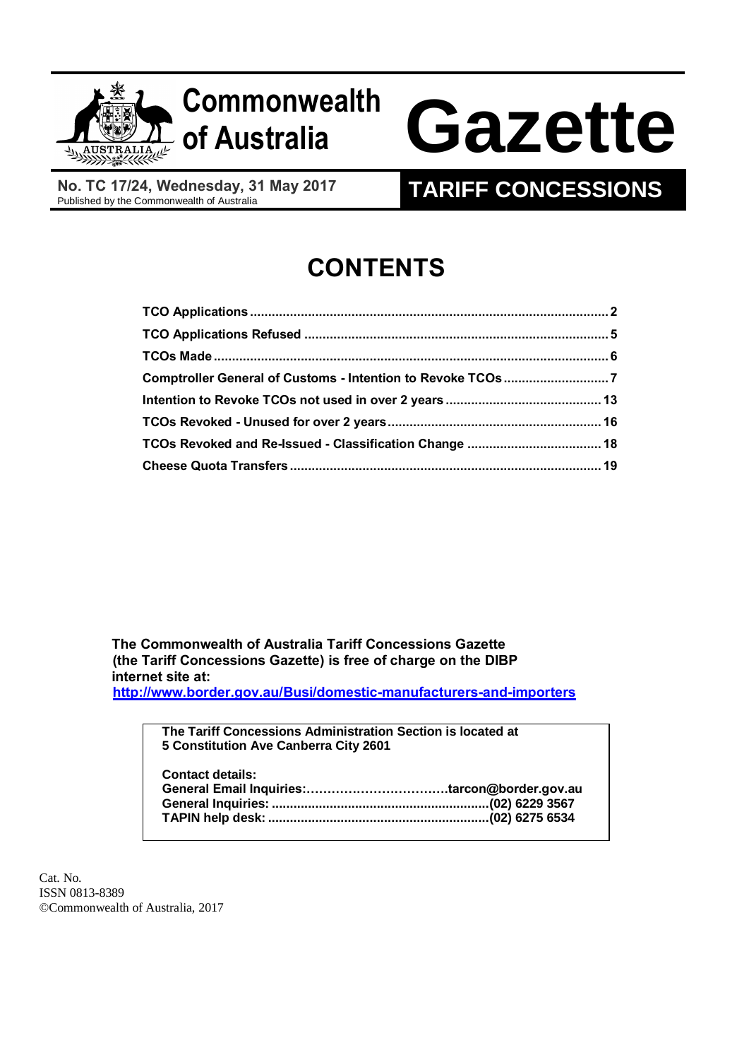

# **Commonwealth**

# **of Australia Gazette**

**No. TC 17/24, Wednesday, 31 May 2017**

# **TARIFF CONCESSIONS**

# **CONTENTS**

 **The Commonwealth of Australia Tariff Concessions Gazette (the Tariff Concessions Gazette) is free of charge on the DIBP internet site at: <http://www.border.gov.au/Busi/domestic-manufacturers-and-importers>**

> **The Tariff Concessions Administration Section is located at 5 Constitution Ave Canberra City 2601 Contact details: General Email Inquiries:…………………………….tarcon@border.gov.au General Inquiries: ............................................................(02) 6229 3567 TAPIN help desk: .............................................................(02) 6275 6534**

Cat. No. ISSN 0813-8389 ©Commonwealth of Australia, 2017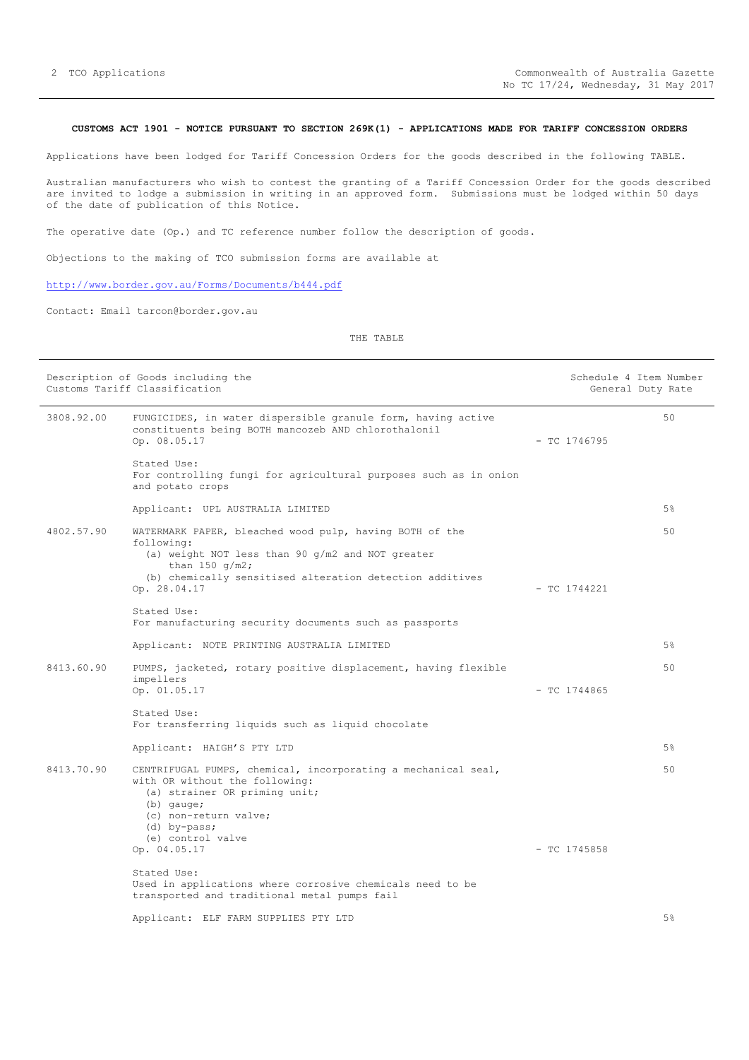#### <span id="page-1-0"></span>**CUSTOMS ACT 1901 - NOTICE PURSUANT TO SECTION 269K(1) - APPLICATIONS MADE FOR TARIFF CONCESSION ORDERS**

Applications have been lodged for Tariff Concession Orders for the goods described in the following TABLE.

Australian manufacturers who wish to contest the granting of a Tariff Concession Order for the goods described are invited to lodge a submission in writing in an approved form. Submissions must be lodged within 50 days of the date of publication of this Notice.

The operative date (Op.) and TC reference number follow the description of goods.

Objections to the making of TCO submission forms are available at

#### <http://www.border.gov.au/Forms/Documents/b444.pdf>

Contact: Email tarcon@border.gov.au

|            | Description of Goods including the<br>Customs Tariff Classification                                                                                                                                            |                | Schedule 4 Item Number<br>General Duty Rate |
|------------|----------------------------------------------------------------------------------------------------------------------------------------------------------------------------------------------------------------|----------------|---------------------------------------------|
| 3808.92.00 | FUNGICIDES, in water dispersible granule form, having active<br>constituents being BOTH mancozeb AND chlorothalonil<br>Op. 08.05.17                                                                            | $-$ TC 1746795 | 50                                          |
|            | Stated Use:<br>For controlling fungi for agricultural purposes such as in onion<br>and potato crops                                                                                                            |                |                                             |
|            | Applicant: UPL AUSTRALIA LIMITED                                                                                                                                                                               |                | 5%                                          |
| 4802.57.90 | WATERMARK PAPER, bleached wood pulp, having BOTH of the<br>following:<br>(a) weight NOT less than 90 g/m2 and NOT greater<br>than 150 $q/m2$ ;<br>(b) chemically sensitised alteration detection additives     |                | 50                                          |
|            | Op. 28.04.17                                                                                                                                                                                                   | $-$ TC 1744221 |                                             |
|            | Stated Use:<br>For manufacturing security documents such as passports                                                                                                                                          |                |                                             |
|            | Applicant: NOTE PRINTING AUSTRALIA LIMITED                                                                                                                                                                     |                | 5%                                          |
| 8413.60.90 | PUMPS, jacketed, rotary positive displacement, having flexible<br>impellers<br>Op. 01.05.17                                                                                                                    | $-$ TC 1744865 | 50                                          |
|            | Stated Use:<br>For transferring liquids such as liquid chocolate                                                                                                                                               |                |                                             |
|            | Applicant: HAIGH'S PTY LTD                                                                                                                                                                                     |                | 5%                                          |
| 8413.70.90 | CENTRIFUGAL PUMPS, chemical, incorporating a mechanical seal,<br>with OR without the following:<br>(a) strainer OR priming unit;<br>$(b)$ qauqe;<br>(c) non-return valve;<br>(d) by-pass;<br>(e) control valve |                | 50                                          |
|            | Op. 04.05.17                                                                                                                                                                                                   | $-$ TC 1745858 |                                             |
|            | Stated Use:<br>Used in applications where corrosive chemicals need to be<br>transported and traditional metal pumps fail                                                                                       |                |                                             |
|            | Applicant: ELF FARM SUPPLIES PTY LTD                                                                                                                                                                           |                | 5%                                          |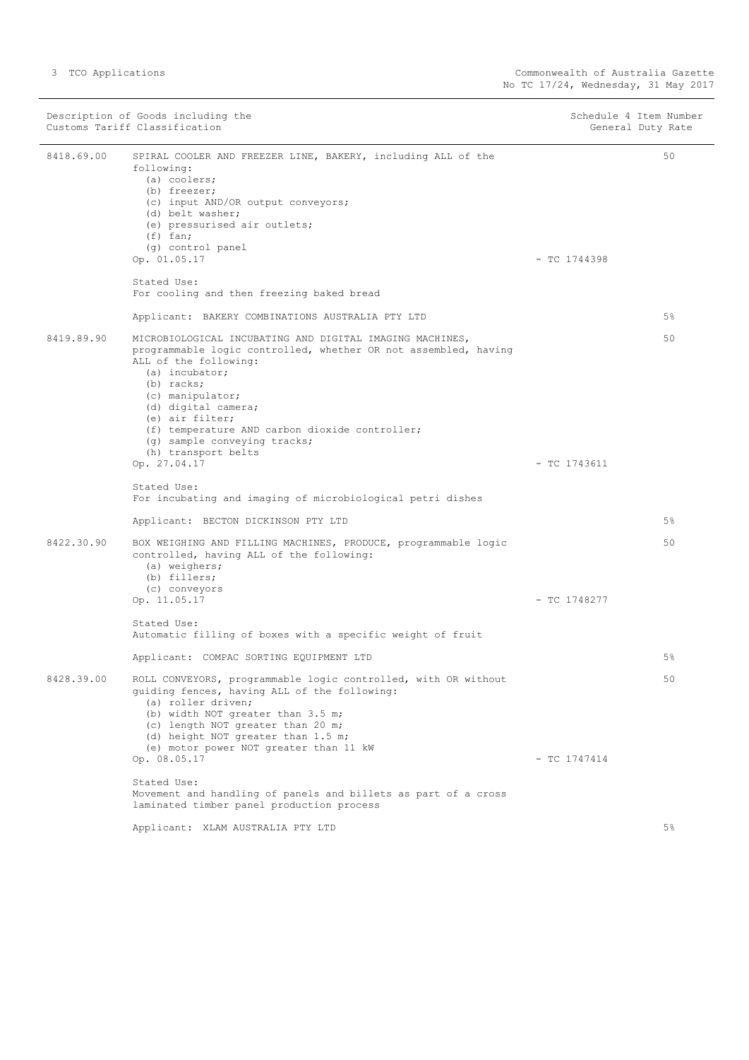|            | Description of Goods including the<br>Customs Tariff Classification                                                                                                                                                                                                                                                                                                           | Schedule 4 Item Number<br>General Duty Rate |       |
|------------|-------------------------------------------------------------------------------------------------------------------------------------------------------------------------------------------------------------------------------------------------------------------------------------------------------------------------------------------------------------------------------|---------------------------------------------|-------|
| 8418.69.00 | SPIRAL COOLER AND FREEZER LINE, BAKERY, including ALL of the<br>following:<br>$(a)$ coolers;<br>(b) freezer;<br>(c) input AND/OR output conveyors;<br>(d) belt washer;<br>(e) pressurised air outlets;<br>$(f)$ fan;<br>(g) control panel<br>Op. 01.05.17                                                                                                                     | $-$ TC 1744398                              | 50    |
|            | Stated Use:<br>For cooling and then freezing baked bread                                                                                                                                                                                                                                                                                                                      |                                             |       |
|            | Applicant: BAKERY COMBINATIONS AUSTRALIA PTY LTD                                                                                                                                                                                                                                                                                                                              |                                             | $5\%$ |
| 8419.89.90 | MICROBIOLOGICAL INCUBATING AND DIGITAL IMAGING MACHINES,<br>programmable logic controlled, whether OR not assembled, having<br>ALL of the following:<br>(a) incubator;<br>$(b)$ racks;<br>(c) manipulator;<br>(d) digital camera;<br>(e) air filter;<br>(f) temperature AND carbon dioxide controller;<br>(g) sample conveying tracks;<br>(h) transport belts<br>Op. 27.04.17 | $-$ TC 1743611                              | 50    |
|            | Stated Use:<br>For incubating and imaging of microbiological petri dishes                                                                                                                                                                                                                                                                                                     |                                             |       |
|            | Applicant: BECTON DICKINSON PTY LTD                                                                                                                                                                                                                                                                                                                                           |                                             | $5\%$ |
| 8422.30.90 | BOX WEIGHING AND FILLING MACHINES, PRODUCE, programmable logic<br>controlled, having ALL of the following:<br>(a) weighers;<br>(b) fillers;<br>(c) conveyors<br>Op. 11.05.17                                                                                                                                                                                                  | $-$ TC 1748277                              | 50    |
|            | Stated Use:<br>Automatic filling of boxes with a specific weight of fruit                                                                                                                                                                                                                                                                                                     |                                             |       |
|            | Applicant: COMPAC SORTING EQUIPMENT LTD                                                                                                                                                                                                                                                                                                                                       |                                             | $5\%$ |
| 8428.39.00 | ROLL CONVEYORS, programmable logic controlled, with OR without<br>quiding fences, having ALL of the following:<br>(a) roller driven;<br>(b) width NOT greater than 3.5 m;<br>(c) length NOT greater than 20 m;<br>(d) height NOT greater than 1.5 m;<br>(e) motor power NOT greater than 11 kW<br>Op. 08.05.17                                                                | $-$ TC 1747414                              | 50    |
|            | Stated Use:<br>Movement and handling of panels and billets as part of a cross<br>laminated timber panel production process                                                                                                                                                                                                                                                    |                                             |       |
|            | Applicant: XLAM AUSTRALIA PTY LTD                                                                                                                                                                                                                                                                                                                                             |                                             | $5\%$ |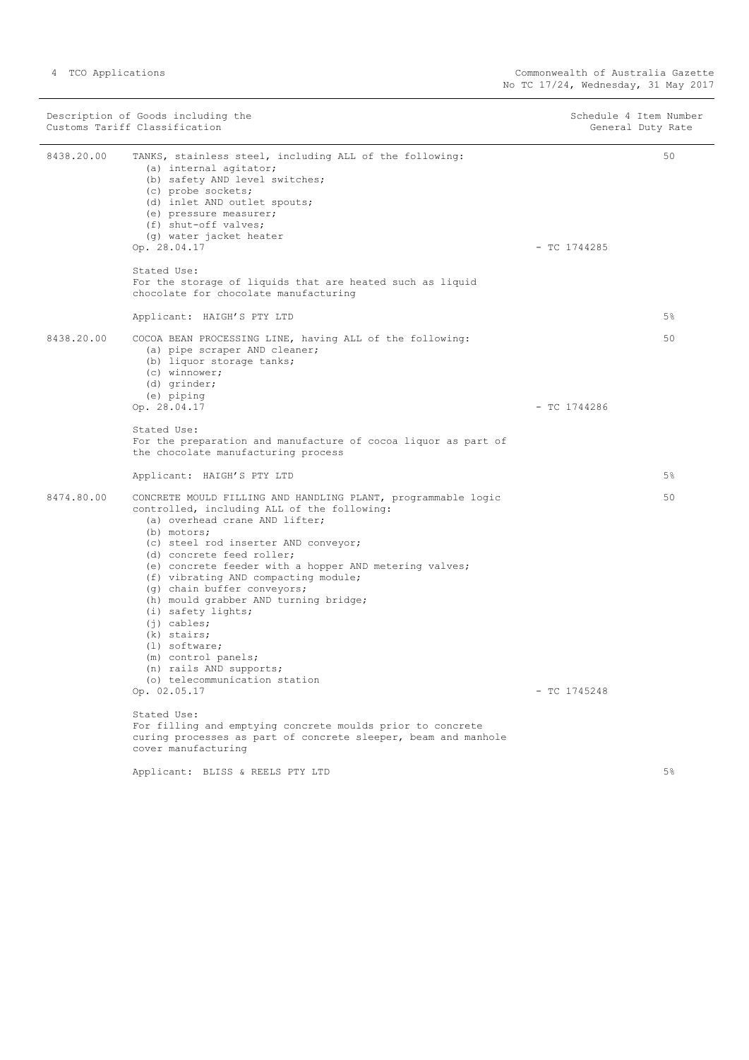|            | Description of Goods including the<br>Customs Tariff Classification                                                                                                                                                                                                                                                                                                                                                                                                                                                                                                      | Schedule 4 Item Number<br>General Duty Rate |  |
|------------|--------------------------------------------------------------------------------------------------------------------------------------------------------------------------------------------------------------------------------------------------------------------------------------------------------------------------------------------------------------------------------------------------------------------------------------------------------------------------------------------------------------------------------------------------------------------------|---------------------------------------------|--|
| 8438.20.00 | TANKS, stainless steel, including ALL of the following:<br>(a) internal agitator;<br>(b) safety AND level switches;<br>(c) probe sockets;<br>(d) inlet AND outlet spouts;<br>(e) pressure measurer;<br>(f) shut-off valves;<br>(g) water jacket heater<br>Op. 28.04.17<br>Stated Use:<br>For the storage of liquids that are heated such as liquid<br>chocolate for chocolate manufacturing<br>Applicant: HAIGH'S PTY LTD                                                                                                                                                | 50<br>$-$ TC 1744285<br>$5\%$               |  |
| 8438.20.00 | COCOA BEAN PROCESSING LINE, having ALL of the following:<br>(a) pipe scraper AND cleaner;<br>(b) liquor storage tanks;<br>(c) winnower;<br>$(d)$ grinder;<br>(e) piping<br>Op. 28.04.17                                                                                                                                                                                                                                                                                                                                                                                  | 50<br>$-$ TC 1744286                        |  |
|            | Stated Use:<br>For the preparation and manufacture of cocoa liquor as part of<br>the chocolate manufacturing process<br>Applicant: HAIGH'S PTY LTD                                                                                                                                                                                                                                                                                                                                                                                                                       | 5%                                          |  |
| 8474.80.00 | CONCRETE MOULD FILLING AND HANDLING PLANT, programmable logic<br>controlled, including ALL of the following:<br>(a) overhead crane AND lifter;<br>(b) motors;<br>(c) steel rod inserter AND conveyor;<br>(d) concrete feed roller;<br>(e) concrete feeder with a hopper AND metering valves;<br>(f) vibrating AND compacting module;<br>(g) chain buffer conveyors;<br>(h) mould grabber AND turning bridge;<br>(i) safety lights;<br>$(j)$ cables;<br>(k) stairs;<br>$(1)$ software;<br>(m) control panels;<br>(n) rails AND supports;<br>(o) telecommunication station | 50                                          |  |
|            | Op. 02.05.17                                                                                                                                                                                                                                                                                                                                                                                                                                                                                                                                                             | $-$ TC 1745248                              |  |
|            | Stated Use:<br>For filling and emptying concrete moulds prior to concrete<br>curing processes as part of concrete sleeper, beam and manhole<br>cover manufacturing                                                                                                                                                                                                                                                                                                                                                                                                       |                                             |  |
|            | Applicant: BLISS & REELS PTY LTD                                                                                                                                                                                                                                                                                                                                                                                                                                                                                                                                         | $5\%$                                       |  |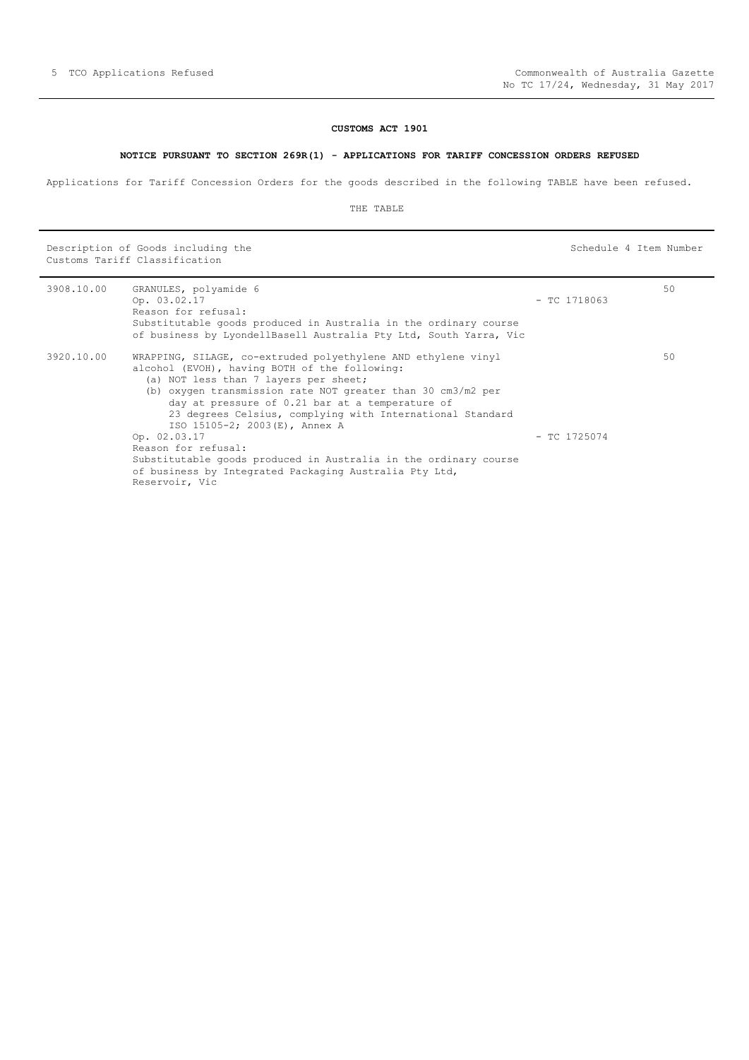# **CUSTOMS ACT 1901**

#### **NOTICE PURSUANT TO SECTION 269R(1) - APPLICATIONS FOR TARIFF CONCESSION ORDERS REFUSED**

<span id="page-4-0"></span>Applications for Tariff Concession Orders for the goods described in the following TABLE have been refused.

#### THE TABLE

Description of Goods including the Schedule 4 Item Number (Schedule 4 Item Number Customs Tariff Classification

| 3908.10.00 | GRANULES, polyamide 6<br>Op. 03.02.17<br>Reason for refusal:<br>Substitutable goods produced in Australia in the ordinary course<br>of business by LyondellBasell Australia Pty Ltd, South Yarra, Vic                                                                                                                                                                   | $-$ TC 1718063 | 50 |
|------------|-------------------------------------------------------------------------------------------------------------------------------------------------------------------------------------------------------------------------------------------------------------------------------------------------------------------------------------------------------------------------|----------------|----|
| 3920.10.00 | WRAPPING, SILAGE, co-extruded polyethylene AND ethylene vinyl<br>alcohol (EVOH), having BOTH of the following:<br>(a) NOT less than 7 layers per sheet;<br>(b) oxygen transmission rate NOT greater than 30 cm3/m2 per<br>day at pressure of 0.21 bar at a temperature of<br>23 degrees Celsius, complying with International Standard<br>ISO 15105-2; 2003(E), Annex A |                | 50 |
|            | Op. 02.03.17<br>Reason for refusal:<br>Substitutable goods produced in Australia in the ordinary course<br>of business by Integrated Packaging Australia Pty Ltd,<br>Reservoir, Vic                                                                                                                                                                                     | $-$ TC 1725074 |    |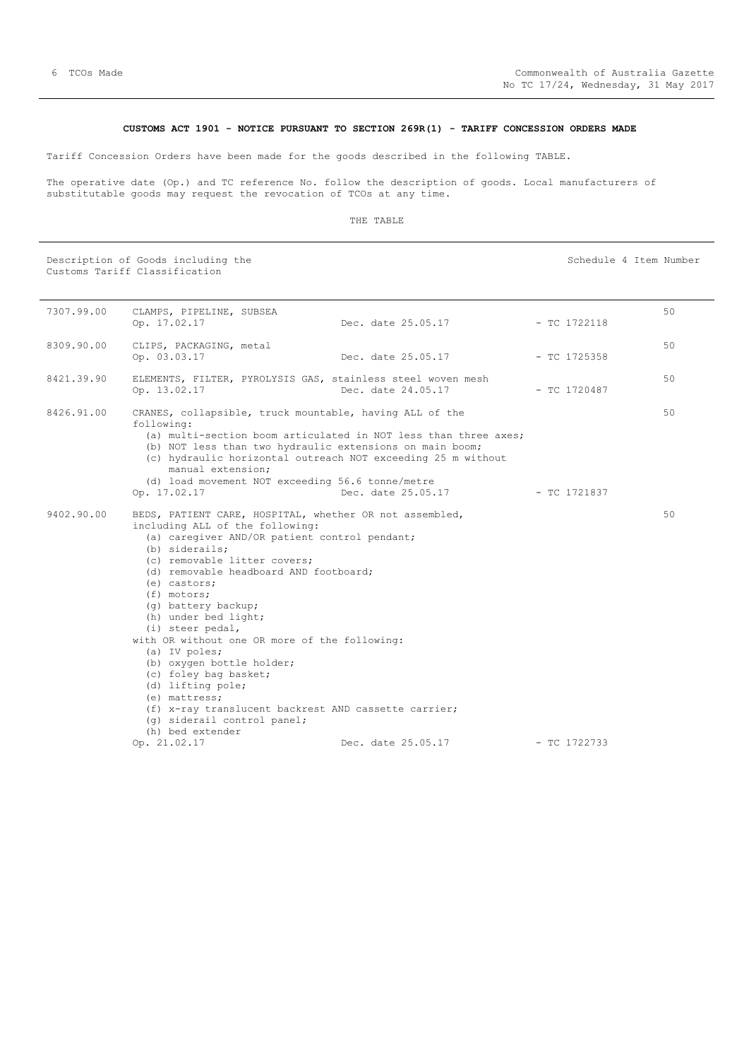#### **CUSTOMS ACT 1901 - NOTICE PURSUANT TO SECTION 269R(1) - TARIFF CONCESSION ORDERS MADE**

<span id="page-5-0"></span>Tariff Concession Orders have been made for the goods described in the following TABLE.

The operative date (Op.) and TC reference No. follow the description of goods. Local manufacturers of substitutable goods may request the revocation of TCOs at any time.

#### THE TABLE

Description of Goods including the Schedule 4 Item Number (Schedule 4 Item Number Customs Tariff Classification

| 7307.99.00 | CLAMPS, PIPELINE, SUBSEA<br>Op. 17.02.17                                                                                                                                                                                                                                                                                                                                                                                                                                                                                                                                                                             | Dec. date 25.05.17                                              | $-$ TC 1722118 | 50 |
|------------|----------------------------------------------------------------------------------------------------------------------------------------------------------------------------------------------------------------------------------------------------------------------------------------------------------------------------------------------------------------------------------------------------------------------------------------------------------------------------------------------------------------------------------------------------------------------------------------------------------------------|-----------------------------------------------------------------|----------------|----|
| 8309.90.00 | CLIPS, PACKAGING, metal<br>Op. 03.03.17                                                                                                                                                                                                                                                                                                                                                                                                                                                                                                                                                                              | Dec. date 25.05.17                                              | $-$ TC 1725358 | 50 |
| 8421.39.90 | ELEMENTS, FILTER, PYROLYSIS GAS, stainless steel woven mesh<br>Op. 13.02.17                                                                                                                                                                                                                                                                                                                                                                                                                                                                                                                                          | Dec. date 24.05.17                                              | $-$ TC 1720487 | 50 |
| 8426.91.00 | CRANES, collapsible, truck mountable, having ALL of the<br>following:<br>(b) NOT less than two hydraulic extensions on main boom;<br>(c) hydraulic horizontal outreach NOT exceeding 25 m without<br>manual extension;<br>(d) load movement NOT exceeding 56.6 tonne/metre                                                                                                                                                                                                                                                                                                                                           | (a) multi-section boom articulated in NOT less than three axes; |                | 50 |
|            | Op. 17.02.17                                                                                                                                                                                                                                                                                                                                                                                                                                                                                                                                                                                                         | Dec. date 25.05.17                                              | - TC 1721837   |    |
| 9402.90.00 | BEDS, PATIENT CARE, HOSPITAL, whether OR not assembled,<br>including ALL of the following:<br>(a) caregiver AND/OR patient control pendant;<br>(b) siderails:<br>(c) removable litter covers;<br>(d) removable headboard AND footboard;<br>$(e)$ castors;<br>(f) motors;<br>(q) battery backup;<br>(h) under bed light;<br>(i) steer pedal,<br>with OR without one OR more of the following:<br>(a) IV poles;<br>(b) oxygen bottle holder;<br>(c) foley bag basket;<br>(d) lifting pole;<br>(e) mattress;<br>(f) x-ray translucent backrest AND cassette carrier;<br>(q) siderail control panel;<br>(h) bed extender |                                                                 |                | 50 |
|            | Op. 21.02.17                                                                                                                                                                                                                                                                                                                                                                                                                                                                                                                                                                                                         | Dec. date 25.05.17                                              | - TC 1722733   |    |
|            |                                                                                                                                                                                                                                                                                                                                                                                                                                                                                                                                                                                                                      |                                                                 |                |    |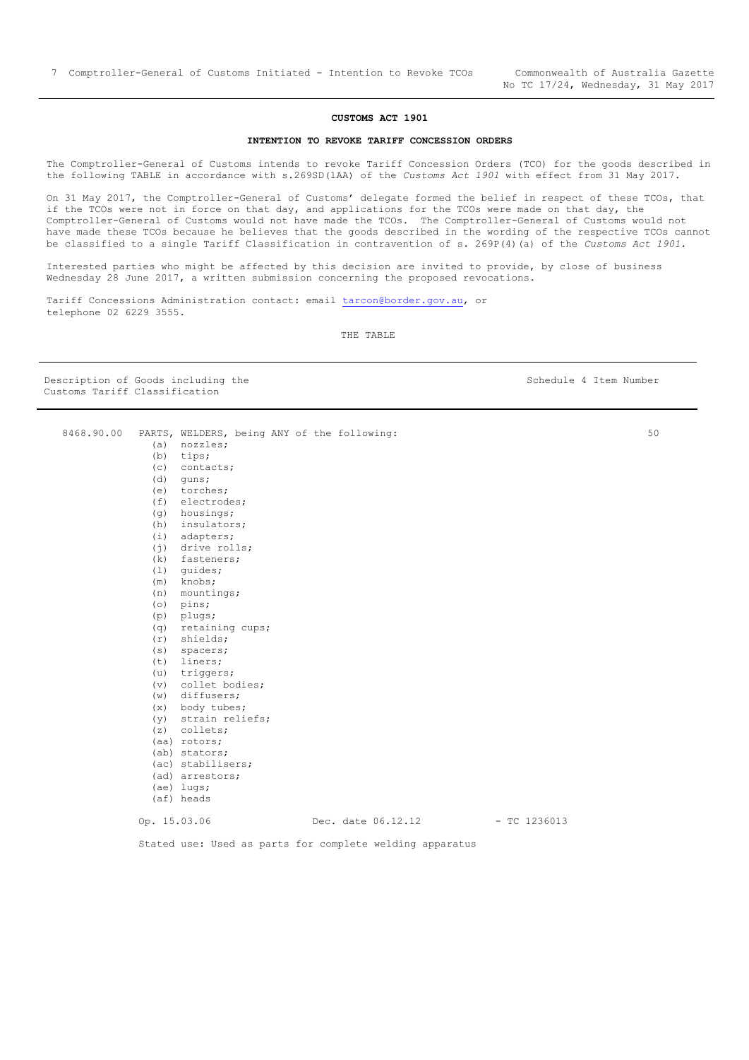### **CUSTOMS ACT 1901**

#### **INTENTION TO REVOKE TARIFF CONCESSION ORDERS**

<span id="page-6-0"></span>The Comptroller-General of Customs intends to revoke Tariff Concession Orders (TCO) for the goods described in the following TABLE in accordance with s.269SD(1AA) of the *Customs Act 1901* with effect from 31 May 2017.

On 31 May 2017, the Comptroller-General of Customs' delegate formed the belief in respect of these TCOs, that if the TCOs were not in force on that day, and applications for the TCOs were made on that day, the Comptroller-General of Customs would not have made the TCOs. The Comptroller-General of Customs would not have made these TCOs because he believes that the goods described in the wording of the respective TCOs cannot be classified to a single Tariff Classification in contravention of s. 269P(4)(a) of the *Customs Act 1901*.

Interested parties who might be affected by this decision are invited to provide, by close of business Wednesday 28 June 2017, a written submission concerning the proposed revocations.

Tariff Concessions Administration contact: email [tarcon@border.gov.au,](mailto:tarcon@border.gov.au) or telephone 02 6229 3555.

8468.90.00 PARTS, WELDERS, being ANY of the following:

THE TABLE

Description of Goods including the Schedule 4 Item Number Customs Tariff Classification

50

| (a)          | nozzles;          |                    |                |
|--------------|-------------------|--------------------|----------------|
| (b)          | tips;             |                    |                |
| (c)          | contacts;         |                    |                |
| (d)          | quns;             |                    |                |
| (e)          | torches;          |                    |                |
| (f)          | electrodes;       |                    |                |
| (q)          | housings;         |                    |                |
| (h)          | insulators;       |                    |                |
| (i)          | adapters;         |                    |                |
| (j)          | drive rolls;      |                    |                |
| (k)          | fasteners;        |                    |                |
| (1)          | quides;           |                    |                |
| (m)          | knobs;            |                    |                |
| (n)          | mountings;        |                    |                |
| (0)          | pins;             |                    |                |
| (p)          | plugs;            |                    |                |
| (q)          | retaining cups;   |                    |                |
| (r)          | shields;          |                    |                |
| (s)          | spacers;          |                    |                |
| (t)          | liners;           |                    |                |
| (u)          | triggers;         |                    |                |
| (v)          | collet bodies;    |                    |                |
| (w)          | diffusers;        |                    |                |
| (x)          | body tubes;       |                    |                |
| (y)          | strain reliefs;   |                    |                |
| (z)          | collets;          |                    |                |
|              | (aa) rotors;      |                    |                |
|              | (ab) stators;     |                    |                |
|              | (ac) stabilisers; |                    |                |
|              | (ad) arrestors;   |                    |                |
|              | (ae) lugs;        |                    |                |
|              | (af) heads        |                    |                |
|              |                   |                    |                |
| Op. 15.03.06 |                   | Dec. date 06.12.12 | $-$ TC 1236013 |
|              |                   |                    |                |

Stated use: Used as parts for complete welding apparatus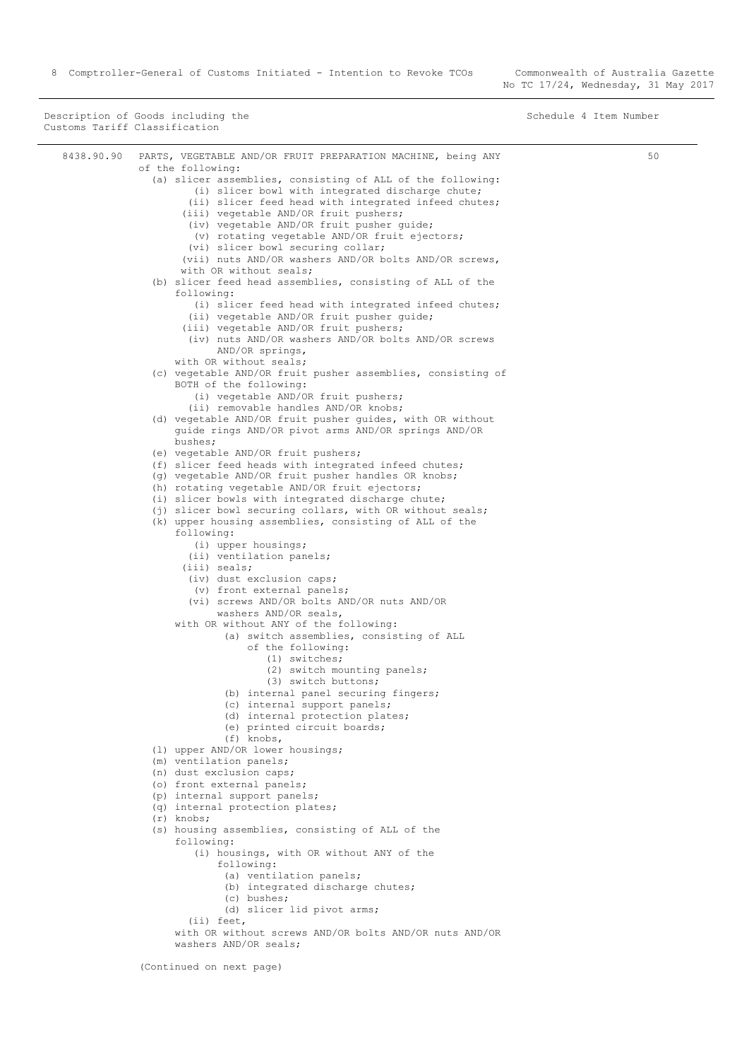Description of Goods including the Schedule 4 Item Number (Schedule 4 Item Number Customs Tariff Classification

| 8438.90.90 | PARTS, VEGETABLE AND/OR FRUIT PREPARATION MACHINE, being ANY<br>of the following:                                  | 50 |
|------------|--------------------------------------------------------------------------------------------------------------------|----|
|            | (a) slicer assemblies, consisting of ALL of the following:                                                         |    |
|            | (i) slicer bowl with integrated discharge chute;                                                                   |    |
|            | (ii) slicer feed head with integrated infeed chutes;                                                               |    |
|            | (iii) vegetable AND/OR fruit pushers;                                                                              |    |
|            | (iv) vegetable AND/OR fruit pusher quide;                                                                          |    |
|            | (v) rotating vegetable AND/OR fruit ejectors;                                                                      |    |
|            | (vi) slicer bowl securing collar;                                                                                  |    |
|            | (vii) nuts AND/OR washers AND/OR bolts AND/OR screws,                                                              |    |
|            | with OR without seals;                                                                                             |    |
|            | (b) slicer feed head assemblies, consisting of ALL of the<br>following:                                            |    |
|            | (i) slicer feed head with integrated infeed chutes;<br>(ii) vegetable AND/OR fruit pusher quide;                   |    |
|            | (iii) vegetable AND/OR fruit pushers;                                                                              |    |
|            | (iv) nuts AND/OR washers AND/OR bolts AND/OR screws<br>AND/OR springs,                                             |    |
|            | with OR without seals;                                                                                             |    |
|            | (c) vegetable AND/OR fruit pusher assemblies, consisting of                                                        |    |
|            | BOTH of the following:                                                                                             |    |
|            | (i) vegetable AND/OR fruit pushers;                                                                                |    |
|            | (ii) removable handles AND/OR knobs;                                                                               |    |
|            | (d) vegetable AND/OR fruit pusher quides, with OR without                                                          |    |
|            | guide rings AND/OR pivot arms AND/OR springs AND/OR<br>bushes;                                                     |    |
|            | (e) vegetable AND/OR fruit pushers;                                                                                |    |
|            | (f) slicer feed heads with integrated infeed chutes;                                                               |    |
|            | (g) vegetable AND/OR fruit pusher handles OR knobs;                                                                |    |
|            | (h) rotating vegetable AND/OR fruit ejectors;                                                                      |    |
|            | (i) slicer bowls with integrated discharge chute;                                                                  |    |
|            | (j) slicer bowl securing collars, with OR without seals;<br>(k) upper housing assemblies, consisting of ALL of the |    |
|            | following:                                                                                                         |    |
|            | (i) upper housings;                                                                                                |    |
|            | (ii) ventilation panels;                                                                                           |    |
|            | (iii) seals;                                                                                                       |    |
|            | (iv) dust exclusion caps;                                                                                          |    |
|            | (v) front external panels;                                                                                         |    |
|            | (vi) screws AND/OR bolts AND/OR nuts AND/OR                                                                        |    |
|            | washers AND/OR seals,                                                                                              |    |
|            | with OR without ANY of the following:                                                                              |    |
|            | (a) switch assemblies, consisting of ALL<br>of the following:                                                      |    |
|            | $(1)$ switches;                                                                                                    |    |
|            | (2) switch mounting panels;                                                                                        |    |
|            | (3) switch buttons;                                                                                                |    |
|            | (b) internal panel securing fingers;                                                                               |    |
|            | (c) internal support panels;<br>(d) internal protection plates;                                                    |    |
|            | (e) printed circuit boards;                                                                                        |    |
|            | $(f)$ knobs,                                                                                                       |    |
|            | (1) upper AND/OR lower housings;                                                                                   |    |
|            | (m) ventilation panels;                                                                                            |    |
|            | (n) dust exclusion caps;                                                                                           |    |
|            | (o) front external panels;                                                                                         |    |
|            | (p) internal support panels;                                                                                       |    |
|            | (q) internal protection plates;                                                                                    |    |
|            | $(r)$ knobs;<br>(s) housing assemblies, consisting of ALL of the                                                   |    |
|            | following:<br>(i) housings, with OR without ANY of the                                                             |    |
|            | following:                                                                                                         |    |
|            | (a) ventilation panels;                                                                                            |    |
|            | (b) integrated discharge chutes;                                                                                   |    |
|            | (c) bushes;                                                                                                        |    |
|            | (d) slicer lid pivot arms;                                                                                         |    |
|            | $(i)$ feet,<br>with OR without screws AND/OR bolts AND/OR nuts AND/OR                                              |    |
|            |                                                                                                                    |    |

(Continued on next page)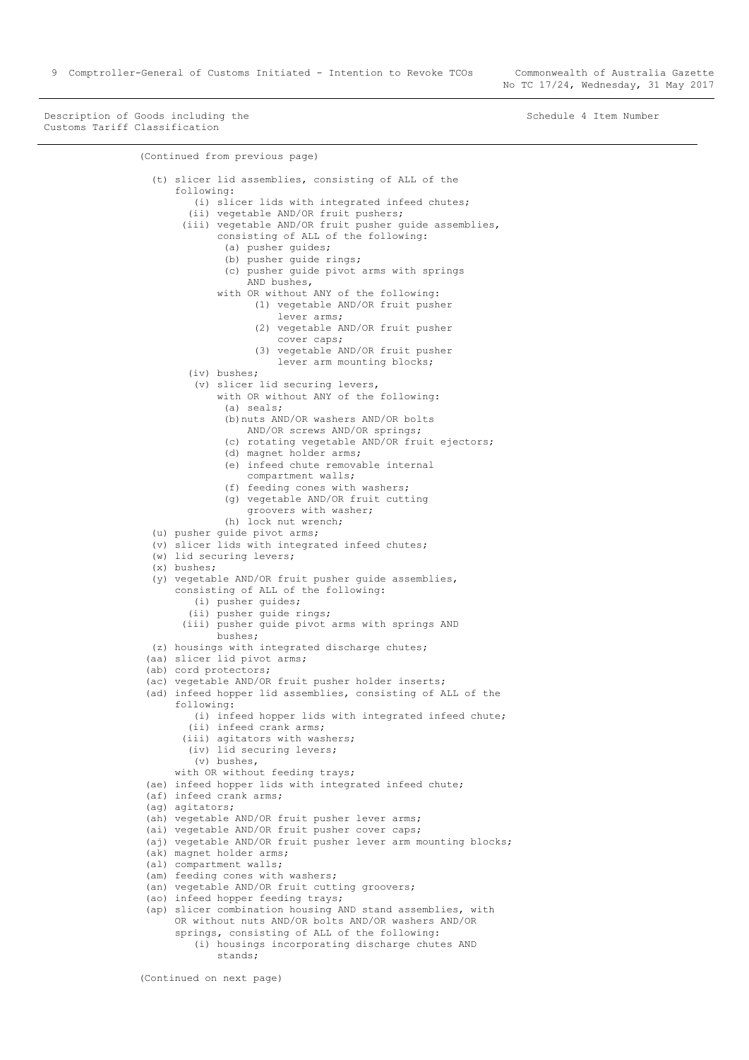Description of Goods including the Schedule 4 Item Number Schedule 4 Item Number Customs Tariff Classification

```
(Continued from previous page)
   (t) slicer lid assemblies, consisting of ALL of the
       following:
         (i) slicer lids with integrated infeed chutes;
         (ii) vegetable AND/OR fruit pushers;
        (iii) vegetable AND/OR fruit pusher guide assemblies,
              consisting of ALL of the following:
               (a) pusher guides;
               (b) pusher guide rings;
               (c) pusher guide pivot arms with springs
                   AND bushes,
              with OR without ANY of the following:
                    (1) vegetable AND/OR fruit pusher
                        lever arms;
                    (2) vegetable AND/OR fruit pusher
                        cover caps;
                     (3) vegetable AND/OR fruit pusher
                       lever arm mounting blocks;
         (iv) bushes;
          (v) slicer lid securing levers,
              with OR without ANY of the following:
               (a) seals;
               (b)nuts AND/OR washers AND/OR bolts 
                   AND/OR screws AND/OR springs;
               (c) rotating vegetable AND/OR fruit ejectors;
               (d) magnet holder arms;
               (e) infeed chute removable internal
                   compartment walls;
               (f) feeding cones with washers;
               (g) vegetable AND/OR fruit cutting
                   groovers with washer;
               (h) lock nut wrench;
   (u) pusher guide pivot arms;
   (v) slicer lids with integrated infeed chutes;
  (w) lid securing levers;
   (x) bushes;
   (y) vegetable AND/OR fruit pusher guide assemblies, 
      consisting of ALL of the following:
          (i) pusher guides;
         (ii) pusher guide rings;
        (iii) pusher guide pivot arms with springs AND 
             bushes;
  (z) housings with integrated discharge chutes;
 (aa) slicer lid pivot arms;
(ab) cord protectors;
 (ac) vegetable AND/OR fruit pusher holder inserts;
(ad) infeed hopper lid assemblies, consisting of ALL of the
       following:
          (i) infeed hopper lids with integrated infeed chute;
         (ii) infeed crank arms;
        (iii) agitators with washers;
         (iv) lid securing levers;
          (v) bushes,
      with OR without feeding trays;
 (ae) infeed hopper lids with integrated infeed chute;
(af) infeed crank arms;
 (ag) agitators;
(ah) vegetable AND/OR fruit pusher lever arms;
(ai) vegetable AND/OR fruit pusher cover caps;
 (aj) vegetable AND/OR fruit pusher lever arm mounting blocks;
(ak) magnet holder arms;
 (al) compartment walls;
 (am) feeding cones with washers;
(an) vegetable AND/OR fruit cutting groovers;
 (ao) infeed hopper feeding trays;
(ap) slicer combination housing AND stand assemblies, with 
      OR without nuts AND/OR bolts AND/OR washers AND/OR
       springs, consisting of ALL of the following:
          (i) housings incorporating discharge chutes AND
              stands;
```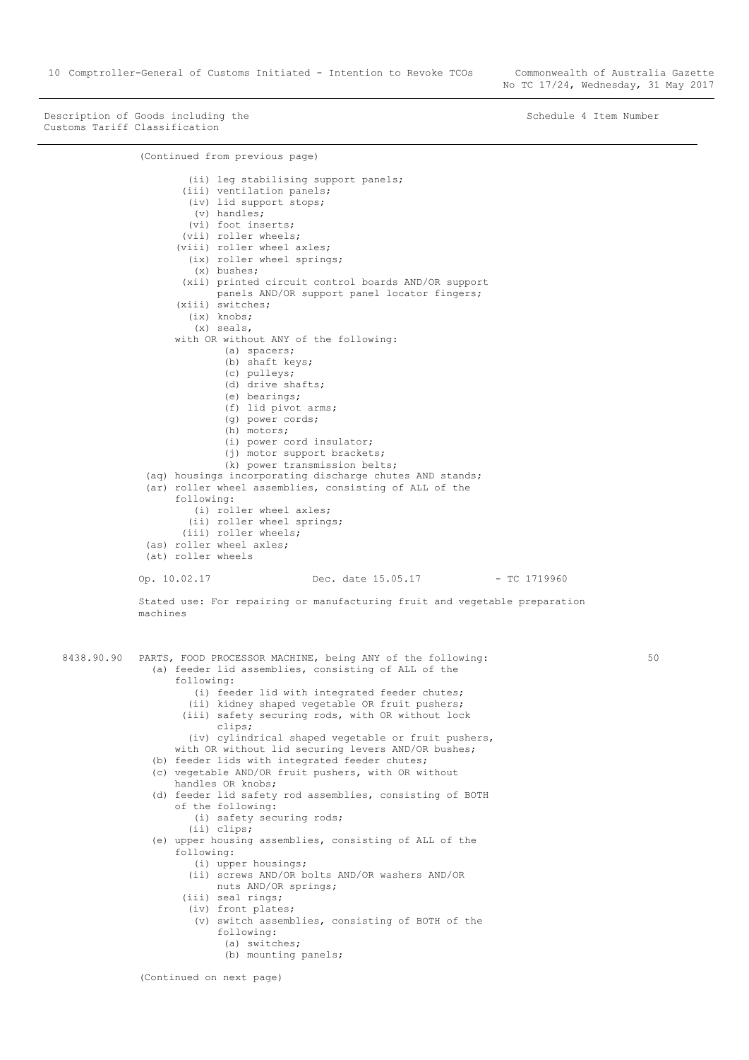10 Comptroller-General of Customs Initiated - Intention to Revoke TCOs Commonwealth of Australia Gazette

No TC 17/24, Wednesday, 31 May 2017

50

Description of Goods including the Schedule 4 Item Number Schedule 4 Item Number Customs Tariff Classification

(Continued from previous page) (ii) leg stabilising support panels; (iii) ventilation panels; (iv) lid support stops; (v) handles; (vi) foot inserts; (vii) roller wheels; (viii) roller wheel axles; (ix) roller wheel springs; (x) bushes; (xii) printed circuit control boards AND/OR support panels AND/OR support panel locator fingers; (xiii) switches; (ix) knobs; (x) seals, with OR without ANY of the following: (a) spacers; (b) shaft keys; (c) pulleys; (d) drive shafts; (e) bearings; (f) lid pivot arms; (g) power cords; (h) motors; (i) power cord insulator; (j) motor support brackets; (k) power transmission belts; (aq) housings incorporating discharge chutes AND stands; (ar) roller wheel assemblies, consisting of ALL of the following: (i) roller wheel axles; (ii) roller wheel springs; (iii) roller wheels; (as) roller wheel axles; (at) roller wheels Op. 10.02.17 Dec. date 15.05.17 - TC 1719960 Stated use: For repairing or manufacturing fruit and vegetable preparation machines 8438.90.90 PARTS, FOOD PROCESSOR MACHINE, being ANY of the following: (a) feeder lid assemblies, consisting of ALL of the following: (i) feeder lid with integrated feeder chutes; (ii) kidney shaped vegetable OR fruit pushers; (iii) safety securing rods, with OR without lock clips; (iv) cylindrical shaped vegetable or fruit pushers, with OR without lid securing levers AND/OR bushes; (b) feeder lids with integrated feeder chutes; (c) vegetable AND/OR fruit pushers, with OR without handles OR knobs; (d) feeder lid safety rod assemblies, consisting of BOTH of the following: (i) safety securing rods; (ii) clips; (e) upper housing assemblies, consisting of ALL of the following: (i) upper housings; (ii) screws AND/OR bolts AND/OR washers AND/OR nuts AND/OR springs; (iii) seal rings; (iv) front plates; (v) switch assemblies, consisting of BOTH of the following: (a) switches; (b) mounting panels; (Continued on next page)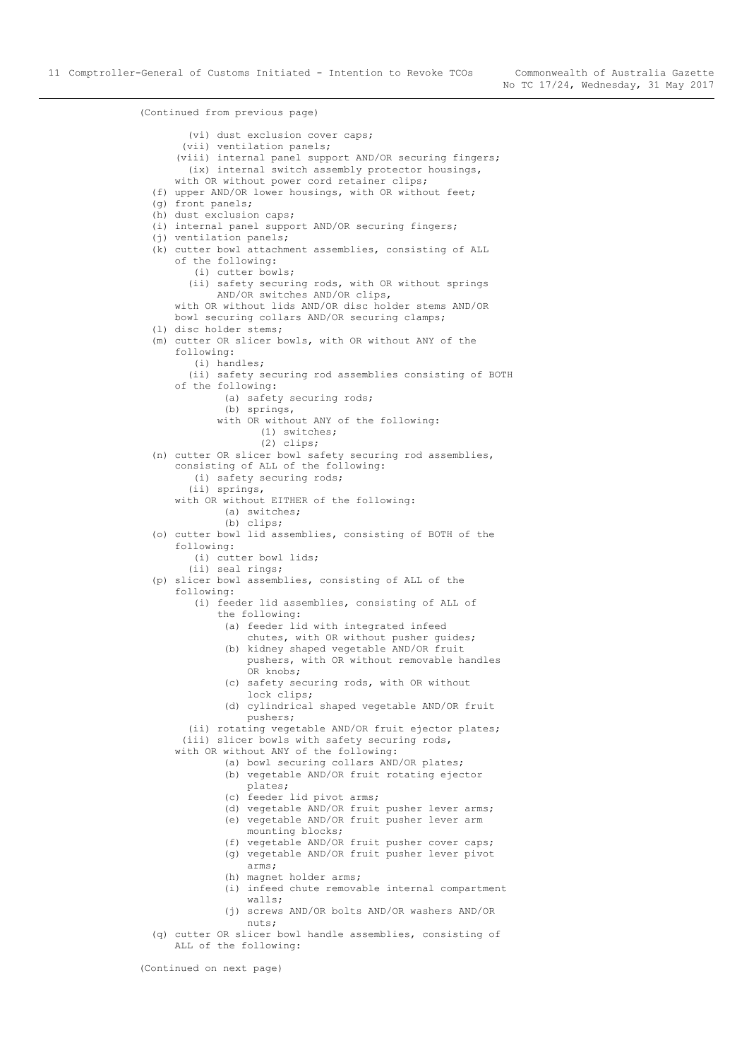(Continued from previous page) (vi) dust exclusion cover caps; (vii) ventilation panels; (viii) internal panel support AND/OR securing fingers; (ix) internal switch assembly protector housings, with OR without power cord retainer clips; (f) upper AND/OR lower housings, with OR without feet; (g) front panels; (h) dust exclusion caps; (i) internal panel support AND/OR securing fingers; (j) ventilation panels; (k) cutter bowl attachment assemblies, consisting of ALL of the following: (i) cutter bowls; (ii) safety securing rods, with OR without springs AND/OR switches AND/OR clips, with OR without lids AND/OR disc holder stems AND/OR bowl securing collars AND/OR securing clamps; (l) disc holder stems; (m) cutter OR slicer bowls, with OR without ANY of the following: (i) handles; (ii) safety securing rod assemblies consisting of BOTH of the following: (a) safety securing rods; (b) springs, with OR without ANY of the following: (1) switches; (2) clips; (n) cutter OR slicer bowl safety securing rod assemblies, consisting of ALL of the following: (i) safety securing rods; (ii) springs, with OR without EITHER of the following: (a) switches; (b) clips; (o) cutter bowl lid assemblies, consisting of BOTH of the following: (i) cutter bowl lids; (ii) seal rings; (p) slicer bowl assemblies, consisting of ALL of the following: (i) feeder lid assemblies, consisting of ALL of the following: (a) feeder lid with integrated infeed chutes, with OR without pusher guides; (b) kidney shaped vegetable AND/OR fruit pushers, with OR without removable handles OR knobs; (c) safety securing rods, with OR without lock clips; (d) cylindrical shaped vegetable AND/OR fruit pushers; (ii) rotating vegetable AND/OR fruit ejector plates; (iii) slicer bowls with safety securing rods, with OR without ANY of the following: (a) bowl securing collars AND/OR plates; (b) vegetable AND/OR fruit rotating ejector plates; (c) feeder lid pivot arms; (d) vegetable AND/OR fruit pusher lever arms; (e) vegetable AND/OR fruit pusher lever arm mounting blocks; (f) vegetable AND/OR fruit pusher cover caps; (g) vegetable AND/OR fruit pusher lever pivot arms; (h) magnet holder arms; (i) infeed chute removable internal compartment walls; (j) screws AND/OR bolts AND/OR washers AND/OR nuts; (q) cutter OR slicer bowl handle assemblies, consisting of ALL of the following:

(Continued on next page)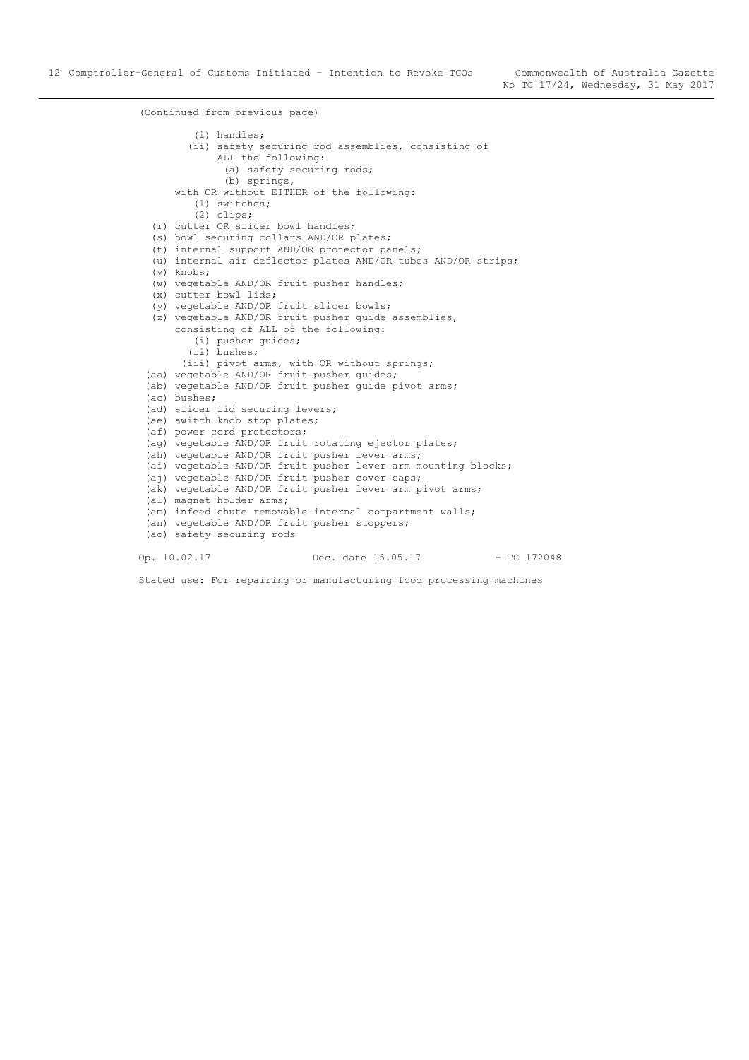(Continued from previous page) (i) handles; (ii) safety securing rod assemblies, consisting of ALL the following: (a) safety securing rods; (b) springs, with OR without EITHER of the following: (1) switches; (2) clips; (r) cutter OR slicer bowl handles; (s) bowl securing collars AND/OR plates; (t) internal support AND/OR protector panels; (u) internal air deflector plates AND/OR tubes AND/OR strips; (v) knobs; (w) vegetable AND/OR fruit pusher handles; (x) cutter bowl lids; (y) vegetable AND/OR fruit slicer bowls; (z) vegetable AND/OR fruit pusher guide assemblies, consisting of ALL of the following: (i) pusher guides; (ii) bushes; (iii) pivot arms, with OR without springs; (aa) vegetable AND/OR fruit pusher guides; (ab) vegetable AND/OR fruit pusher guide pivot arms; (ac) bushes; (ad) slicer lid securing levers; (ae) switch knob stop plates; (af) power cord protectors; (ag) vegetable AND/OR fruit rotating ejector plates; (ah) vegetable AND/OR fruit pusher lever arms; (ai) vegetable AND/OR fruit pusher lever arm mounting blocks; (aj) vegetable AND/OR fruit pusher cover caps; (ak) vegetable AND/OR fruit pusher lever arm pivot arms; (al) magnet holder arms; (am) infeed chute removable internal compartment walls; (an) vegetable AND/OR fruit pusher stoppers; (ao) safety securing rods Op. 10.02.17 Dec. date 15.05.17 - TC 172048

Stated use: For repairing or manufacturing food processing machines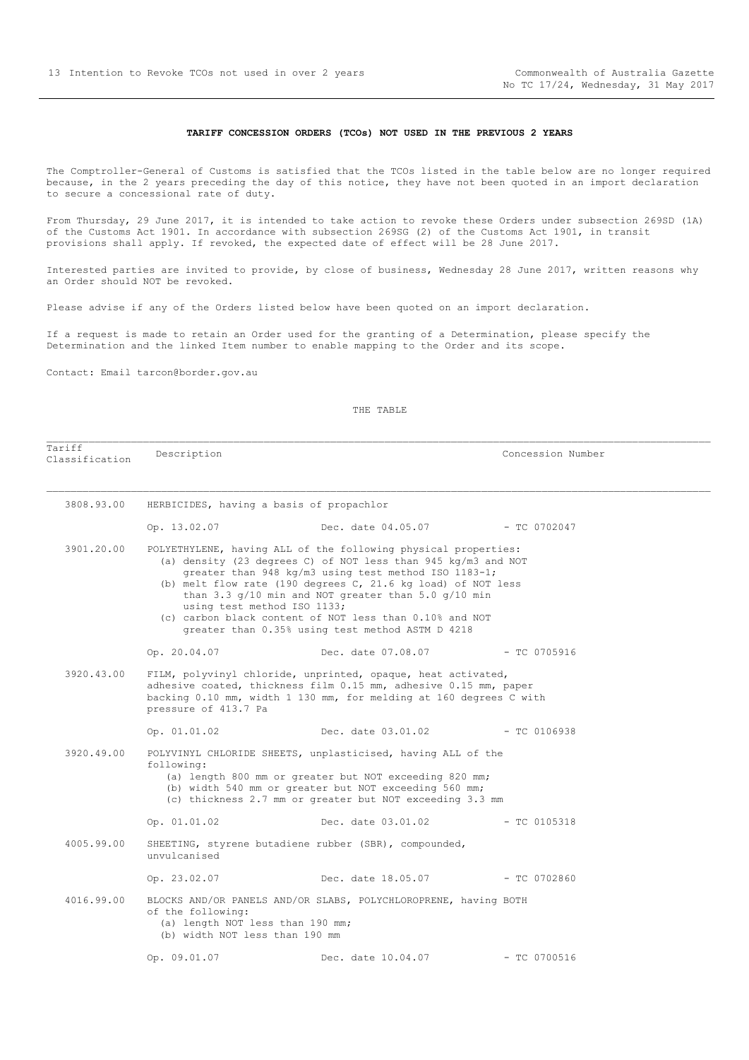#### **TARIFF CONCESSION ORDERS (TCOs) NOT USED IN THE PREVIOUS 2 YEARS**

<span id="page-12-0"></span>The Comptroller-General of Customs is satisfied that the TCOs listed in the table below are no longer required because, in the 2 years preceding the day of this notice, they have not been quoted in an import declaration to secure a concessional rate of duty.

From Thursday, 29 June 2017, it is intended to take action to revoke these Orders under subsection 269SD (1A) of the Customs Act 1901. In accordance with subsection 269SG (2) of the Customs Act 1901, in transit provisions shall apply. If revoked, the expected date of effect will be 28 June 2017.

Interested parties are invited to provide, by close of business, Wednesday 28 June 2017, written reasons why an Order should NOT be revoked.

Please advise if any of the Orders listed below have been quoted on an import declaration.

If a request is made to retain an Order used for the granting of a Determination, please specify the Determination and the linked Item number to enable mapping to the Order and its scope.

Contact: Email tarcon@border.gov.au

Tariff

| Tariff<br>Classification | Description                                                                             |                                                                                                                                                                                                                                                                                                                                                                                                                                            | Concession Number |  |  |
|--------------------------|-----------------------------------------------------------------------------------------|--------------------------------------------------------------------------------------------------------------------------------------------------------------------------------------------------------------------------------------------------------------------------------------------------------------------------------------------------------------------------------------------------------------------------------------------|-------------------|--|--|
| 3808.93.00               | HERBICIDES, having a basis of propachlor                                                |                                                                                                                                                                                                                                                                                                                                                                                                                                            |                   |  |  |
|                          | Op. 13.02.07                                                                            | Dec. date 04.05.07 - TC 0702047                                                                                                                                                                                                                                                                                                                                                                                                            |                   |  |  |
| 3901.20.00               | using test method ISO 1133;                                                             | POLYETHYLENE, having ALL of the following physical properties:<br>(a) density (23 degrees C) of NOT less than 945 $kg/m3$ and NOT<br>greater than 948 kg/m3 using test method ISO 1183-1;<br>(b) melt flow rate (190 degrees $C$ , 21.6 kg load) of NOT less<br>than $3.3$ $g/10$ min and NOT greater than $5.0$ $g/10$ min<br>(c) carbon black content of NOT less than 0.10% and NOT<br>greater than 0.35% using test method ASTM D 4218 |                   |  |  |
|                          | Op. 20.04.07                                                                            | Dec. date 07.08.07                                                                                                                                                                                                                                                                                                                                                                                                                         | $-$ TC 0705916    |  |  |
| 3920.43.00               | pressure of 413.7 Pa                                                                    | FILM, polyvinyl chloride, unprinted, opaque, heat activated,<br>adhesive coated, thickness film 0.15 mm, adhesive 0.15 mm, paper<br>backing 0.10 mm, width 1 130 mm, for melding at 160 degrees C with                                                                                                                                                                                                                                     |                   |  |  |
|                          | Op. 01.01.02                                                                            | Dec. date 03.01.02 - TC 0106938                                                                                                                                                                                                                                                                                                                                                                                                            |                   |  |  |
| 3920.49.00               | following:                                                                              | POLYVINYL CHLORIDE SHEETS, unplasticised, having ALL of the<br>(a) length 800 mm or greater but NOT exceeding 820 mm;<br>(b) width 540 mm or greater but NOT exceeding 560 mm;<br>(c) thickness 2.7 mm or greater but NOT exceeding 3.3 mm                                                                                                                                                                                                 |                   |  |  |
|                          | Op. 01.01.02                                                                            | Dec. date 03.01.02                                                                                                                                                                                                                                                                                                                                                                                                                         | - TC 0105318      |  |  |
| 4005.99.00               | unvulcanised                                                                            | SHEETING, styrene butadiene rubber (SBR), compounded,                                                                                                                                                                                                                                                                                                                                                                                      |                   |  |  |
|                          | Op. 23.02.07                                                                            | Dec. date 18.05.07                                                                                                                                                                                                                                                                                                                                                                                                                         | $-$ TC 0702860    |  |  |
| 4016.99.00               | of the following:<br>(a) length NOT less than 190 mm;<br>(b) width NOT less than 190 mm | BLOCKS AND/OR PANELS AND/OR SLABS, POLYCHLOROPRENE, having BOTH                                                                                                                                                                                                                                                                                                                                                                            |                   |  |  |
|                          | Op. 09.01.07                                                                            | Dec. date 10.04.07                                                                                                                                                                                                                                                                                                                                                                                                                         | $-$ TC 0700516    |  |  |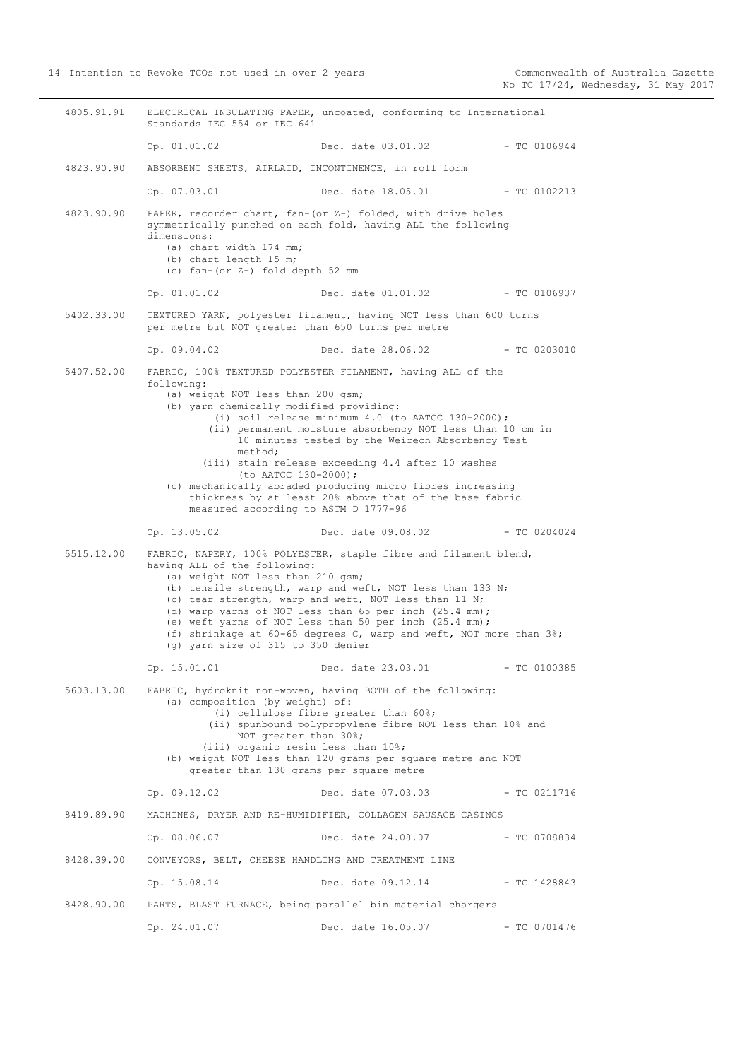4805.91.91 ELECTRICAL INSULATING PAPER, uncoated, conforming to International Standards IEC 554 or IEC 641 Op. 01.01.02 Dec. date 03.01.02 - TC 0106944 4823.90.90 ABSORBENT SHEETS, AIRLAID, INCONTINENCE, in roll form Op. 07.03.01 Dec. date 18.05.01 - TC 0102213 4823.90.90 PAPER, recorder chart, fan-(or Z-) folded, with drive holes symmetrically punched on each fold, having ALL the following dimensions: (a) chart width 174 mm; (b) chart length 15 m; (c) fan-(or Z-) fold depth 52 mm Op. 01.01.02 Dec. date 01.01.02 - TC 0106937 5402.33.00 TEXTURED YARN, polyester filament, having NOT less than 600 turns per metre but NOT greater than 650 turns per metre Op. 09.04.02 Dec. date 28.06.02 - TC 0203010 5407.52.00 FABRIC, 100% TEXTURED POLYESTER FILAMENT, having ALL of the following: (a) weight NOT less than 200 gsm; (b) yarn chemically modified providing: (i) soil release minimum 4.0 (to AATCC 130-2000); (ii) permanent moisture absorbency NOT less than 10 cm in 10 minutes tested by the Weirech Absorbency Test method; (iii) stain release exceeding 4.4 after 10 washes (to AATCC 130-2000); (c) mechanically abraded producing micro fibres increasing thickness by at least 20% above that of the base fabric measured according to ASTM D 1777-96 Op. 13.05.02 Dec. date 09.08.02 - TC 0204024 5515.12.00 FABRIC, NAPERY, 100% POLYESTER, staple fibre and filament blend, having ALL of the following: (a) weight NOT less than 210 gsm; (b) tensile strength, warp and weft, NOT less than 133 N; (c) tear strength, warp and weft, NOT less than 11 N; (d) warp yarns of NOT less than 65 per inch (25.4 mm); (e) weft yarns of NOT less than 50 per inch (25.4 mm); (f) shrinkage at 60-65 degrees C, warp and weft, NOT more than 3%; (g) yarn size of 315 to 350 denier Op. 15.01.01 Dec. date 23.03.01 - TC 0100385 5603.13.00 FABRIC, hydroknit non-woven, having BOTH of the following: (a) composition (by weight) of: (i) cellulose fibre greater than 60%; (ii) spunbound polypropylene fibre NOT less than 10% and NOT greater than 30%; (iii) organic resin less than 10%; (b) weight NOT less than 120 grams per square metre and NOT greater than 130 grams per square metre Op. 09.12.02 Dec. date 07.03.03 - TC 0211716 8419.89.90 MACHINES, DRYER AND RE-HUMIDIFIER, COLLAGEN SAUSAGE CASINGS Op. 08.06.07 Dec. date 24.08.07 - TC 0708834 8428.39.00 CONVEYORS, BELT, CHEESE HANDLING AND TREATMENT LINE Op. 15.08.14 Dec. date 09.12.14 - TC 1428843 8428.90.00 PARTS, BLAST FURNACE, being parallel bin material chargers Op. 24.01.07 Dec. date 16.05.07 - TC 0701476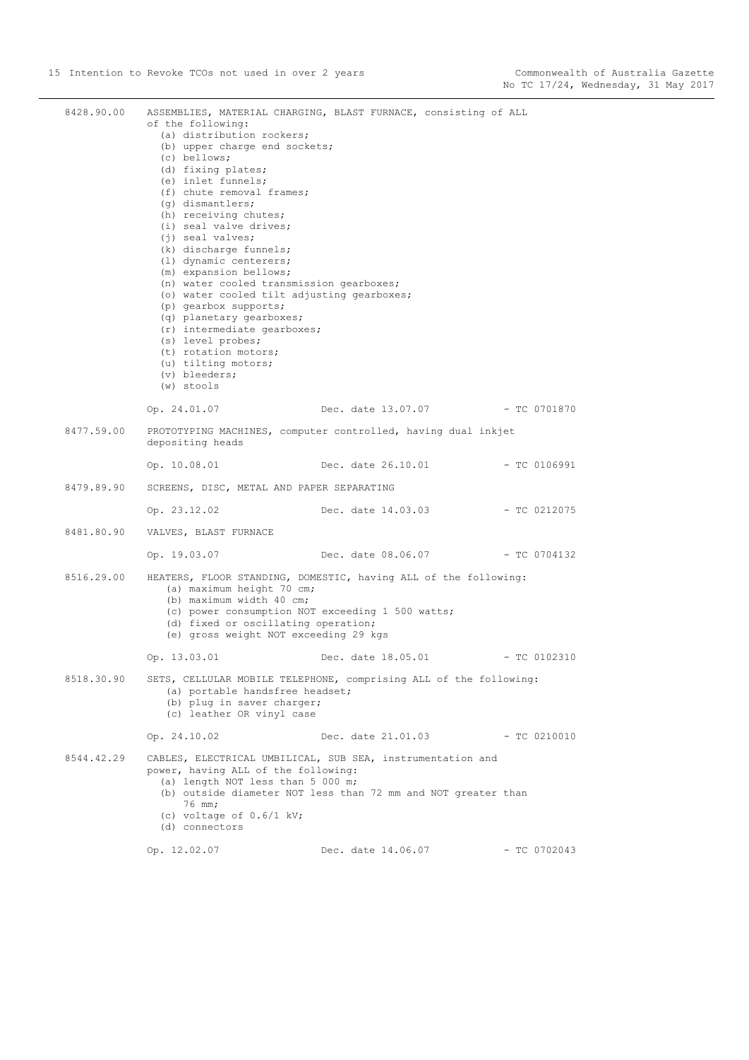| 8428.90.00 | of the following:<br>(a) distribution rockers;<br>(b) upper charge end sockets;<br>(c) bellows;<br>(d) fixing plates;<br>(e) inlet funnels;<br>(f) chute removal frames;<br>(q) dismantlers;<br>(h) receiving chutes;<br>(i) seal valve drives;<br>$(i)$ seal valves;<br>(k) discharge funnels;<br>(1) dynamic centerers;<br>(m) expansion bellows;<br>(n) water cooled transmission gearboxes;<br>(o) water cooled tilt adjusting gearboxes;<br>(p) gearbox supports;<br>(q) planetary gearboxes;<br>(r) intermediate gearboxes;<br>(s) level probes;<br>(t) rotation motors;<br>(u) tilting motors;<br>(v) bleeders;<br>$(w)$ stools | ASSEMBLIES, MATERIAL CHARGING, BLAST FURNACE, consisting of ALL                                                             |                |
|------------|----------------------------------------------------------------------------------------------------------------------------------------------------------------------------------------------------------------------------------------------------------------------------------------------------------------------------------------------------------------------------------------------------------------------------------------------------------------------------------------------------------------------------------------------------------------------------------------------------------------------------------------|-----------------------------------------------------------------------------------------------------------------------------|----------------|
|            | Op. 24.01.07                                                                                                                                                                                                                                                                                                                                                                                                                                                                                                                                                                                                                           | Dec. date 13.07.07 - TC 0701870                                                                                             |                |
| 8477.59.00 | depositing heads                                                                                                                                                                                                                                                                                                                                                                                                                                                                                                                                                                                                                       | PROTOTYPING MACHINES, computer controlled, having dual inkjet                                                               |                |
|            | Op. 10.08.01                                                                                                                                                                                                                                                                                                                                                                                                                                                                                                                                                                                                                           | Dec. date 26.10.01                                                                                                          | $-$ TC 0106991 |
| 8479.89.90 | SCREENS, DISC, METAL AND PAPER SEPARATING                                                                                                                                                                                                                                                                                                                                                                                                                                                                                                                                                                                              |                                                                                                                             |                |
|            | Op. 23.12.02                                                                                                                                                                                                                                                                                                                                                                                                                                                                                                                                                                                                                           | Dec. date 14.03.03                                                                                                          | - TC 0212075   |
|            | 8481.80.90 VALVES, BLAST FURNACE                                                                                                                                                                                                                                                                                                                                                                                                                                                                                                                                                                                                       |                                                                                                                             |                |
|            | Op. 19.03.07                                                                                                                                                                                                                                                                                                                                                                                                                                                                                                                                                                                                                           | Dec. date 08.06.07 - TC 0704132                                                                                             |                |
| 8516.29.00 | (a) maximum height 70 cm;<br>(b) maximum width 40 cm;<br>(d) fixed or oscillating operation;<br>(e) gross weight NOT exceeding 29 kgs                                                                                                                                                                                                                                                                                                                                                                                                                                                                                                  | HEATERS, FLOOR STANDING, DOMESTIC, having ALL of the following:<br>(c) power consumption NOT exceeding 1 500 watts;         |                |
|            | Op. 13.03.01                                                                                                                                                                                                                                                                                                                                                                                                                                                                                                                                                                                                                           | Dec. date 18.05.01 - TC 0102310                                                                                             |                |
| 8518.30.90 | (a) portable handsfree headset;<br>(b) plug in saver charger;<br>(c) leather OR vinyl case                                                                                                                                                                                                                                                                                                                                                                                                                                                                                                                                             | SETS, CELLULAR MOBILE TELEPHONE, comprising ALL of the following:                                                           |                |
|            | Op. 24.10.02                                                                                                                                                                                                                                                                                                                                                                                                                                                                                                                                                                                                                           | Dec. date 21.01.03                                                                                                          | $-$ TC 0210010 |
| 8544.42.29 | power, having ALL of the following:<br>(a) length NOT less than 5 000 m;<br>76 mm;<br>(c) voltage of $0.6/1$ kV;<br>(d) connectors                                                                                                                                                                                                                                                                                                                                                                                                                                                                                                     | CABLES, ELECTRICAL UMBILICAL, SUB SEA, instrumentation and<br>(b) outside diameter NOT less than 72 mm and NOT greater than |                |
|            | Op. 12.02.07                                                                                                                                                                                                                                                                                                                                                                                                                                                                                                                                                                                                                           | Dec. date 14.06.07                                                                                                          | $-$ TC 0702043 |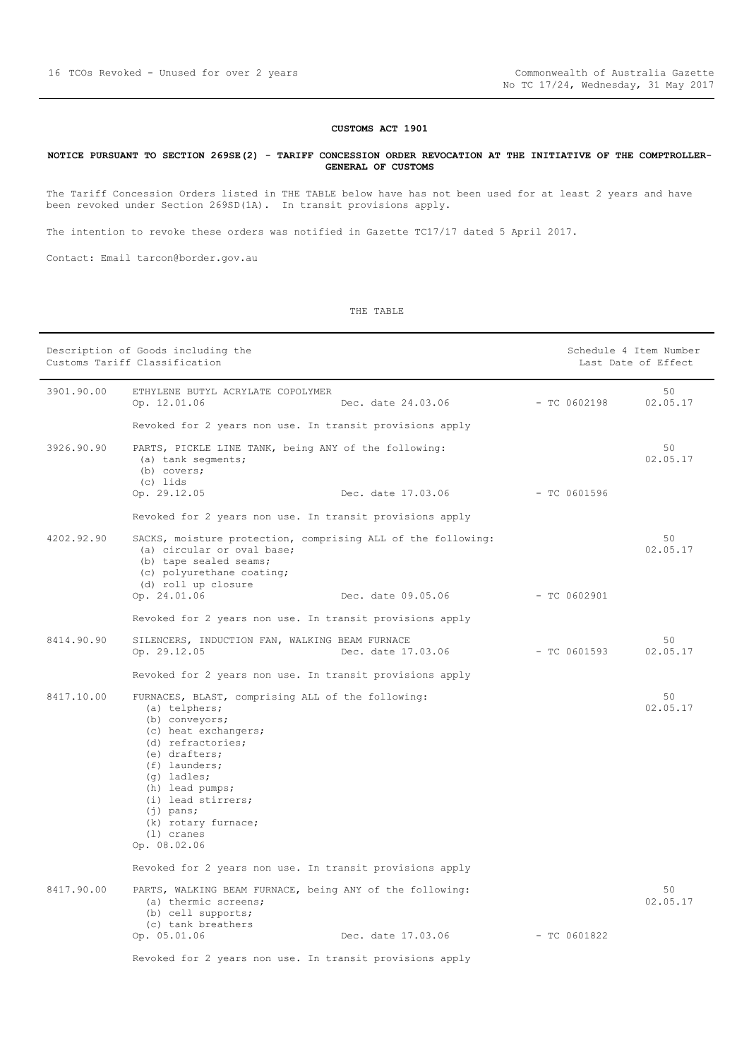#### **CUSTOMS ACT 1901**

#### <span id="page-15-0"></span>**NOTICE PURSUANT TO SECTION 269SE(2) - TARIFF CONCESSION ORDER REVOCATION AT THE INITIATIVE OF THE COMPTROLLER-GENERAL OF CUSTOMS**

The Tariff Concession Orders listed in THE TABLE below have has not been used for at least 2 years and have been revoked under Section 269SD(1A). In transit provisions apply.

The intention to revoke these orders was notified in Gazette TC17/17 dated 5 April 2017.

Contact: Email tarcon@border.gov.au

|            | Description of Goods including the<br>Customs Tariff Classification                                                                                                                                                                                                                                   |                | Schedule 4 Item Number<br>Last Date of Effect |
|------------|-------------------------------------------------------------------------------------------------------------------------------------------------------------------------------------------------------------------------------------------------------------------------------------------------------|----------------|-----------------------------------------------|
| 3901.90.00 | ETHYLENE BUTYL ACRYLATE COPOLYMER<br>Op. 12.01.06<br>Dec. date 24.03.06                                                                                                                                                                                                                               | $-$ TC 0602198 | 50<br>02.05.17                                |
|            | Revoked for 2 years non use. In transit provisions apply                                                                                                                                                                                                                                              |                |                                               |
| 3926.90.90 | PARTS, PICKLE LINE TANK, being ANY of the following:<br>(a) tank segments;<br>(b) covers;<br>(c) lids                                                                                                                                                                                                 |                | 50<br>02.05.17                                |
|            | Op. 29.12.05<br>Dec. date 17.03.06                                                                                                                                                                                                                                                                    | $-$ TC 0601596 |                                               |
|            | Revoked for 2 years non use. In transit provisions apply                                                                                                                                                                                                                                              |                |                                               |
| 4202.92.90 | SACKS, moisture protection, comprising ALL of the following:<br>(a) circular or oval base;<br>(b) tape sealed seams;<br>(c) polyurethane coating;<br>(d) roll up closure                                                                                                                              |                | 50<br>02.05.17                                |
|            | Op. 24.01.06<br>Dec. date 09.05.06                                                                                                                                                                                                                                                                    | $-$ TC 0602901 |                                               |
|            | Revoked for 2 years non use. In transit provisions apply                                                                                                                                                                                                                                              |                |                                               |
| 8414.90.90 | SILENCERS, INDUCTION FAN, WALKING BEAM FURNACE<br>Op. 29.12.05<br>Dec. date 17.03.06                                                                                                                                                                                                                  | $-$ TC 0601593 | 50<br>02.05.17                                |
|            | Revoked for 2 years non use. In transit provisions apply                                                                                                                                                                                                                                              |                |                                               |
| 8417.10.00 | FURNACES, BLAST, comprising ALL of the following:<br>(a) telphers;<br>(b) conveyors;<br>(c) heat exchangers;<br>(d) refractories;<br>(e) drafters;<br>$(f)$ launders;<br>$(q)$ ladles;<br>(h) lead pumps;<br>(i) lead stirrers;<br>$(i)$ pans;<br>(k) rotary furnace;<br>$(1)$ cranes<br>Op. 08.02.06 |                | 50<br>02.05.17                                |
|            | Revoked for 2 years non use. In transit provisions apply                                                                                                                                                                                                                                              |                |                                               |
| 8417.90.00 | PARTS, WALKING BEAM FURNACE, being ANY of the following:<br>(a) thermic screens;<br>(b) cell supports;<br>(c) tank breathers                                                                                                                                                                          |                | 50<br>02.05.17                                |
|            | Op. 05.01.06<br>Dec. date 17.03.06                                                                                                                                                                                                                                                                    | $-$ TC 0601822 |                                               |
|            | Revoked for 2 years non use. In transit provisions apply                                                                                                                                                                                                                                              |                |                                               |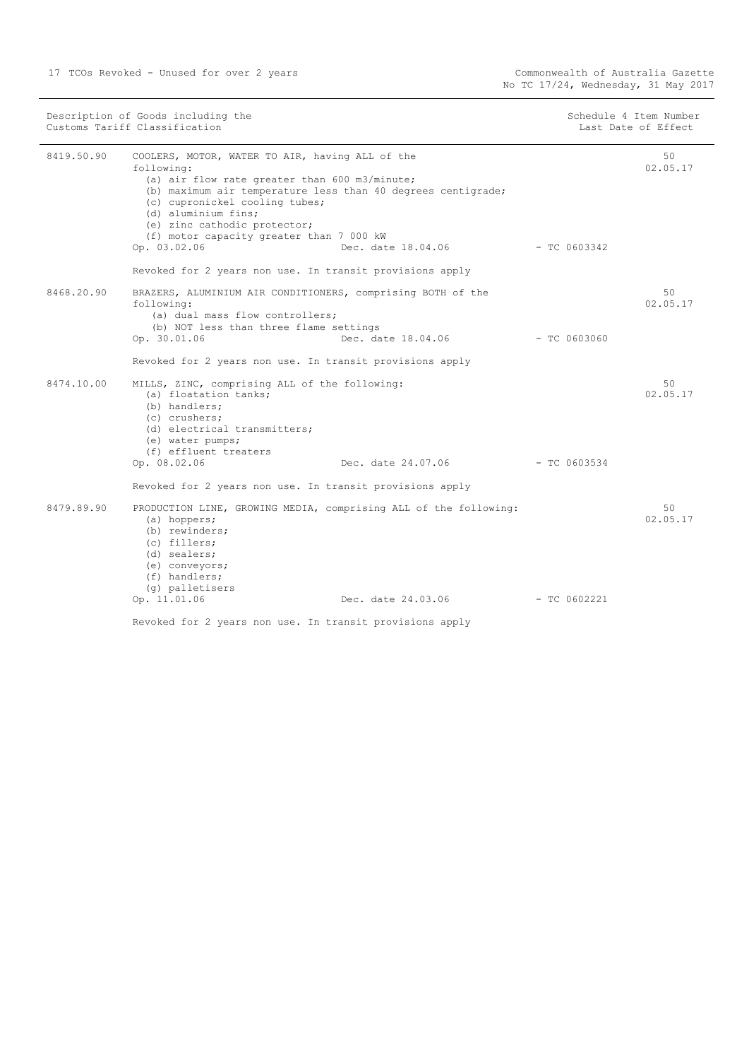|            | Description of Goods including the<br>Customs Tariff Classification                                                                                                                                                                                                                                                                 |                                 |                | Schedule 4 Item Number<br>Last Date of Effect |
|------------|-------------------------------------------------------------------------------------------------------------------------------------------------------------------------------------------------------------------------------------------------------------------------------------------------------------------------------------|---------------------------------|----------------|-----------------------------------------------|
| 8419.50.90 | COOLERS, MOTOR, WATER TO AIR, having ALL of the<br>following:<br>(a) air flow rate greater than 600 m3/minute;<br>(b) maximum air temperature less than 40 degrees centigrade;<br>(c) cupronickel cooling tubes;<br>(d) aluminium fins;<br>(e) zinc cathodic protector;<br>(f) motor capacity greater than 7 000 kW<br>Op. 03.02.06 | Dec. date 18.04.06 - TC 0603342 |                | 50<br>02.05.17                                |
|            | Revoked for 2 years non use. In transit provisions apply                                                                                                                                                                                                                                                                            |                                 |                |                                               |
| 8468.20.90 | BRAZERS, ALUMINIUM AIR CONDITIONERS, comprising BOTH of the<br>following:<br>(a) dual mass flow controllers;<br>(b) NOT less than three flame settings                                                                                                                                                                              |                                 |                | 50<br>02.05.17                                |
|            | Op. 30.01.06                                                                                                                                                                                                                                                                                                                        | Dec. date 18.04.06              | $-$ TC 0603060 |                                               |
|            | Revoked for 2 years non use. In transit provisions apply                                                                                                                                                                                                                                                                            |                                 |                |                                               |
| 8474.10.00 | MILLS, ZINC, comprising ALL of the following:<br>(a) floatation tanks;<br>(b) handlers;<br>(c) crushers;<br>(d) electrical transmitters;<br>(e) water pumps;<br>(f) effluent treaters<br>Op. 08.02.06                                                                                                                               |                                 |                | 50<br>02.05.17                                |
|            | Revoked for 2 years non use. In transit provisions apply                                                                                                                                                                                                                                                                            |                                 |                |                                               |
| 8479.89.90 | PRODUCTION LINE, GROWING MEDIA, comprising ALL of the following:<br>(a) hoppers;<br>(b) rewinders;<br>(c) fillers;<br>(d) sealers;<br>(e) conveyors;<br>(f) handlers;<br>(q) palletisers                                                                                                                                            |                                 |                | 50<br>02.05.17                                |
|            | Op. 11.01.06                                                                                                                                                                                                                                                                                                                        | Dec. date 24.03.06              | - TC 0602221   |                                               |
|            | Revoked for 2 years non use. In transit provisions apply                                                                                                                                                                                                                                                                            |                                 |                |                                               |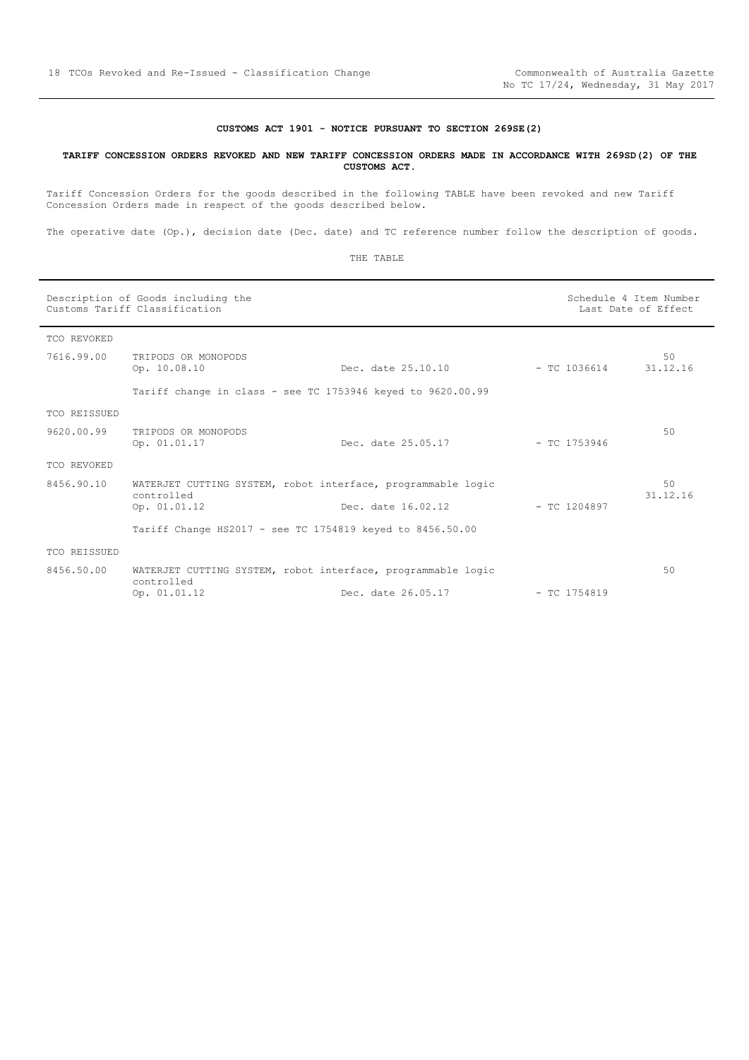#### **CUSTOMS ACT 1901 - NOTICE PURSUANT TO SECTION 269SE(2)**

#### <span id="page-17-0"></span>**TARIFF CONCESSION ORDERS REVOKED AND NEW TARIFF CONCESSION ORDERS MADE IN ACCORDANCE WITH 269SD(2) OF THE CUSTOMS ACT.**

Tariff Concession Orders for the goods described in the following TABLE have been revoked and new Tariff Concession Orders made in respect of the goods described below.

The operative date (Op.), decision date (Dec. date) and TC reference number follow the description of goods.

| Description of Goods including the<br>Customs Tariff Classification |                                                             |                                                                                    | Schedule 4 Item Number<br>Last Date of Effect |                |
|---------------------------------------------------------------------|-------------------------------------------------------------|------------------------------------------------------------------------------------|-----------------------------------------------|----------------|
| TCO REVOKED                                                         |                                                             |                                                                                    |                                               |                |
| 7616.99.00                                                          | TRIPODS OR MONOPODS<br>Op. 10.08.10                         | Dec. date 25.10.10                                                                 | $-$ TC 1036614                                | 50<br>31.12.16 |
|                                                                     | Tariff change in class - see TC 1753946 keyed to 9620.00.99 |                                                                                    |                                               |                |
| TCO REISSUED                                                        |                                                             |                                                                                    |                                               |                |
| 9620.00.99                                                          | TRIPODS OR MONOPODS<br>Op. 01.01.17                         | Dec. date 25.05.17                                                                 | - TC 1753946                                  | 50             |
| TCO REVOKED                                                         |                                                             |                                                                                    |                                               |                |
| 8456.90.10                                                          | controlled<br>Op. 01.01.12                                  | WATERJET CUTTING SYSTEM, robot interface, programmable logic<br>Dec. date 16.02.12 | $-$ TC 1204897                                | 50<br>31.12.16 |
|                                                                     | Tariff Change HS2017 - see TC 1754819 keyed to 8456.50.00   |                                                                                    |                                               |                |
| <b>TCO REISSUED</b>                                                 |                                                             |                                                                                    |                                               |                |
| 8456.50.00                                                          | controlled                                                  | WATERJET CUTTING SYSTEM, robot interface, programmable logic                       |                                               | 50             |
|                                                                     | Op. 01.01.12                                                | Dec. date 26.05.17                                                                 | $-$ TC 1754819                                |                |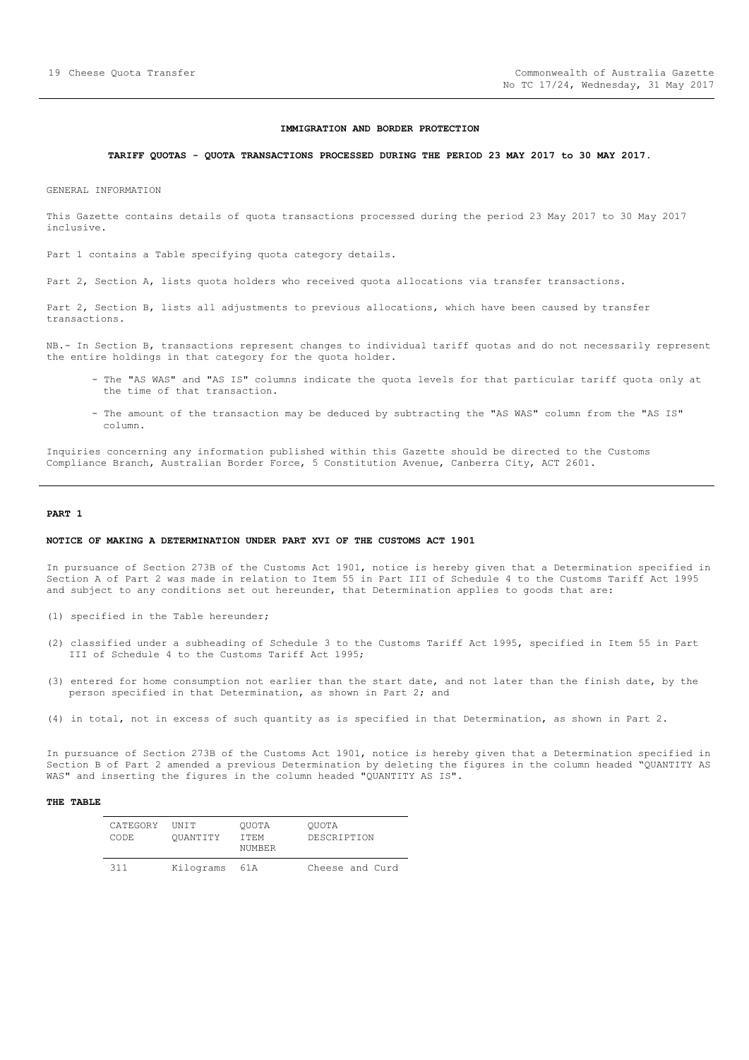#### **IMMIGRATION AND BORDER PROTECTION**

## <span id="page-18-0"></span>**TARIFF QUOTAS - QUOTA TRANSACTIONS PROCESSED DURING THE PERIOD 23 MAY 2017 to 30 MAY 2017.**

GENERAL INFORMATION

This Gazette contains details of quota transactions processed during the period 23 May 2017 to 30 May 2017 inclusive.

Part 1 contains a Table specifying quota category details.

Part 2, Section A, lists quota holders who received quota allocations via transfer transactions.

Part 2, Section B, lists all adjustments to previous allocations, which have been caused by transfer transactions.

NB.- In Section B, transactions represent changes to individual tariff quotas and do not necessarily represent the entire holdings in that category for the quota holder.

- The "AS WAS" and "AS IS" columns indicate the quota levels for that particular tariff quota only at the time of that transaction.
- The amount of the transaction may be deduced by subtracting the "AS WAS" column from the "AS IS" column.

Inquiries concerning any information published within this Gazette should be directed to the Customs Compliance Branch, Australian Border Force, 5 Constitution Avenue, Canberra City, ACT 2601.

#### **PART 1**

#### **NOTICE OF MAKING A DETERMINATION UNDER PART XVI OF THE CUSTOMS ACT 1901**

In pursuance of Section 273B of the Customs Act 1901, notice is hereby given that a Determination specified in Section A of Part 2 was made in relation to Item 55 in Part III of Schedule 4 to the Customs Tariff Act 1995 and subject to any conditions set out hereunder, that Determination applies to goods that are:

- (1) specified in the Table hereunder;
- (2) classified under a subheading of Schedule 3 to the Customs Tariff Act 1995, specified in Item 55 in Part III of Schedule 4 to the Customs Tariff Act 1995;
- (3) entered for home consumption not earlier than the start date, and not later than the finish date, by the person specified in that Determination, as shown in Part 2; and
- (4) in total, not in excess of such quantity as is specified in that Determination, as shown in Part 2.

In pursuance of Section 273B of the Customs Act 1901, notice is hereby given that a Determination specified in Section B of Part 2 amended a previous Determination by deleting the figures in the column headed "QUANTITY AS WAS" and inserting the figures in the column headed "QUANTITY AS IS".

| CATEGORY<br>CODE. | <b>TINTT</b><br>OUANTITY | OUOTA<br>T TEM<br>NUMBER | OUOTA<br>DESCRIPTION |
|-------------------|--------------------------|--------------------------|----------------------|
| 311               | Kilograms                | 61 A                     | Cheese and Curd      |